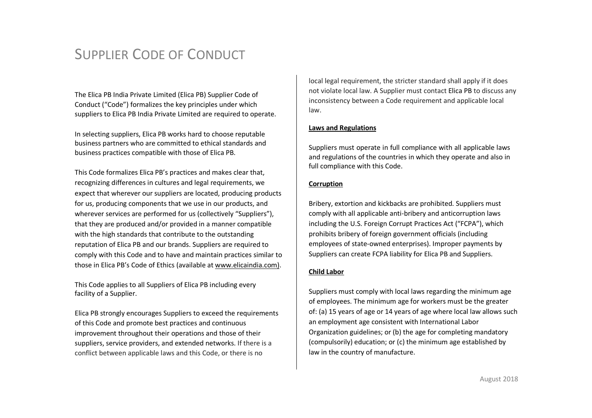The Elica PB India Private Limited (Elica PB) Supplier Code of Conduct ("Code") formalizes the key principles under which suppliers to Elica PB India Private Limited are required to operate.

In selecting suppliers, Elica PB works hard to choose reputable business partners who are committed to ethical standards and business practices compatible with those of Elica PB.

This Code formalizes Elica PB's practices and makes clear that, recognizing differences in cultures and legal requirements, we expect that wherever our suppliers are located, producing products for us, producing components that we use in our products, and wherever services are performed for us (collectively "Suppliers"), that they are produced and/or provided in a manner compatible with the high standards that contribute to the outstanding reputation of Elica PB and our brands. Suppliers are required to comply with this Code and to have and maintain practices similar to those in Elica PB's Code of Ethics (available at [www.elicaindia.com\)](http://www.elicaindia.com)).

This Code applies to all Suppliers of Elica PB including every facility of a Supplier.

Elica PB strongly encourages Suppliers to exceed the requirements of this Code and promote best practices and continuous improvement throughout their operations and those of their suppliers, service providers, and extended networks. If there is a conflict between applicable laws and this Code, or there is no

local legal requirement, the stricter standard shall apply if it does not violate local law. A Supplier must contact Elica PB to discuss any inconsistency between a Code requirement and applicable local law.

## **Laws and Regulations**

Suppliers must operate in full compliance with all applicable laws and regulations of the countries in which they operate and also in full compliance with this Code.

#### **Corruption**

Bribery, extortion and kickbacks are prohibited. Suppliers must comply with all applicable anti-bribery and anticorruption laws including the U.S. Foreign Corrupt Practices Act ("FCPA"), which prohibits bribery of foreign government officials (including employees of state-owned enterprises). Improper payments by Suppliers can create FCPA liability for Elica PB and Suppliers.

# **Child Labor**

Suppliers must comply with local laws regarding the minimum age of employees. The minimum age for workers must be the greater of: (a) 15 years of age or 14 years of age where local law allows such an employment age consistent with International Labor Organization guidelines; or (b) the age for completing mandatory (compulsorily) education; or (c) the minimum age established by law in the country of manufacture.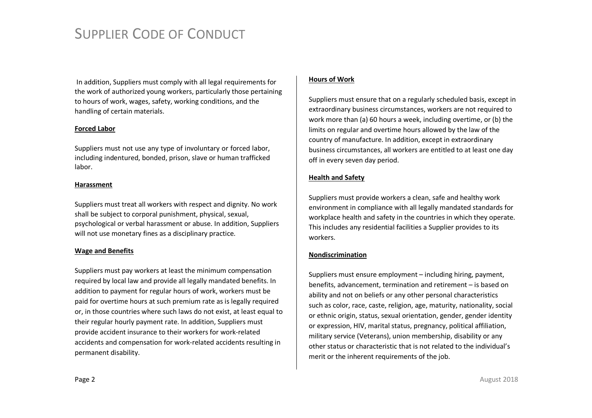In addition, Suppliers must comply with all legal requirements for the work of authorized young workers, particularly those pertaining to hours of work, wages, safety, working conditions, and the handling of certain materials.

## **Forced Labor**

Suppliers must not use any type of involuntary or forced labor, including indentured, bonded, prison, slave or human trafficked labor.

#### **Harassment**

Suppliers must treat all workers with respect and dignity. No work shall be subject to corporal punishment, physical, sexual, psychological or verbal harassment or abuse. In addition, Suppliers will not use monetary fines as a disciplinary practice.

## **Wage and Benefits**

Suppliers must pay workers at least the minimum compensation required by local law and provide all legally mandated benefits. In addition to payment for regular hours of work, workers must be paid for overtime hours at such premium rate as is legally required or, in those countries where such laws do not exist, at least equal to their regular hourly payment rate. In addition, Suppliers must provide accident insurance to their workers for work-related accidents and compensation for work-related accidents resulting in permanent disability.

## **Hours of Work**

Suppliers must ensure that on a regularly scheduled basis, except in extraordinary business circumstances, workers are not required to work more than (a) 60 hours a week, including overtime, or (b) the limits on regular and overtime hours allowed by the law of the country of manufacture. In addition, except in extraordinary business circumstances, all workers are entitled to at least one day off in every seven day period.

# **Health and Safety**

Suppliers must provide workers a clean, safe and healthy work environment in compliance with all legally mandated standards for workplace health and safety in the countries in which they operate. This includes any residential facilities a Supplier provides to its workers.

## **Nondiscrimination**

Suppliers must ensure employment – including hiring, payment, benefits, advancement, termination and retirement – is based on ability and not on beliefs or any other personal characteristics such as color, race, caste, religion, age, maturity, nationality, social or ethnic origin, status, sexual orientation, gender, gender identity or expression, HIV, marital status, pregnancy, political affiliation, military service (Veterans), union membership, disability or any other status or characteristic that is not related to the individual's merit or the inherent requirements of the job.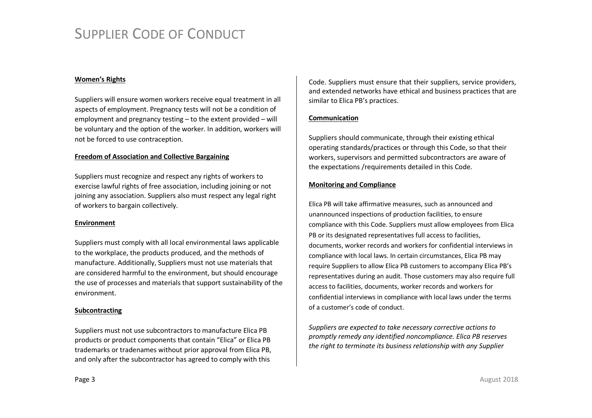## **Women's Rights**

Suppliers will ensure women workers receive equal treatment in all aspects of employment. Pregnancy tests will not be a condition of employment and pregnancy testing – to the extent provided – will be voluntary and the option of the worker. In addition, workers will not be forced to use contraception.

#### **Freedom of Association and Collective Bargaining**

Suppliers must recognize and respect any rights of workers to exercise lawful rights of free association, including joining or not joining any association. Suppliers also must respect any legal right of workers to bargain collectively.

#### **Environment**

Suppliers must comply with all local environmental laws applicable to the workplace, the products produced, and the methods of manufacture. Additionally, Suppliers must not use materials that are considered harmful to the environment, but should encourage the use of processes and materials that support sustainability of the environment.

## **Subcontracting**

Suppliers must not use subcontractors to manufacture Elica PB products or product components that contain "Elica" or Elica PB trademarks or tradenames without prior approval from Elica PB, and only after the subcontractor has agreed to comply with this

Code. Suppliers must ensure that their suppliers, service providers, and extended networks have ethical and business practices that are similar to Elica PB's practices.

## **Communication**

Suppliers should communicate, through their existing ethical operating standards/practices or through this Code, so that their workers, supervisors and permitted subcontractors are aware of the expectations /requirements detailed in this Code.

## **Monitoring and Compliance**

Elica PB will take affirmative measures, such as announced and unannounced inspections of production facilities, to ensure compliance with this Code. Suppliers must allow employees from Elica PB or its designated representatives full access to facilities, documents, worker records and workers for confidential interviews in compliance with local laws. In certain circumstances, Elica PB may require Suppliers to allow Elica PB customers to accompany Elica PB's representatives during an audit. Those customers may also require full access to facilities, documents, worker records and workers for confidential interviews in compliance with local laws under the terms of a customer's code of conduct.

*Suppliers are expected to take necessary corrective actions to promptly remedy any identified noncompliance. Elica PB reserves the right to terminate its business relationship with any Supplier*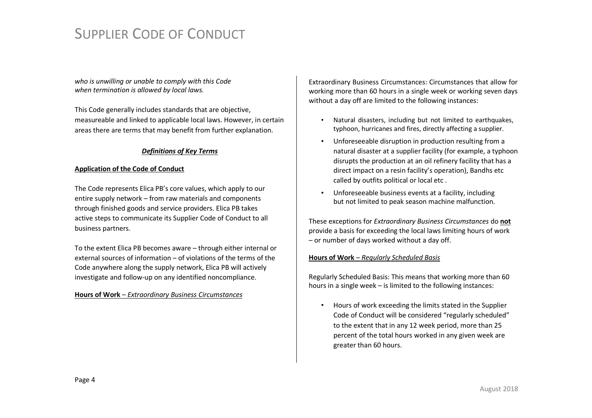*who is unwilling or unable to comply with this Code when termination is allowed by local laws.* 

This Code generally includes standards that are objective, measureable and linked to applicable local laws. However, in certain areas there are terms that may benefit from further explanation.

# *Definitions of Key Terms*

#### **Application of the Code of Conduct**

The Code represents Elica PB's core values, which apply to our entire supply network – from raw materials and components through finished goods and service providers. Elica PB takes active steps to communicate its Supplier Code of Conduct to all business partners.

To the extent Elica PB becomes aware – through either internal or external sources of information – of violations of the terms of the Code anywhere along the supply network, Elica PB will actively investigate and follow-up on any identified noncompliance.

#### **Hours of Work** – *Extraordinary Business Circumstances*

Extraordinary Business Circumstances: Circumstances that allow for working more than 60 hours in a single week or working seven days without a day off are limited to the following instances:

- Natural disasters, including but not limited to earthquakes, typhoon, hurricanes and fires, directly affecting a supplier.
- Unforeseeable disruption in production resulting from a natural disaster at a supplier facility (for example, a typhoon disrupts the production at an oil refinery facility that has a direct impact on a resin facility's operation), Bandhs etc called by outfits political or local etc .
- Unforeseeable business events at a facility, including but not limited to peak season machine malfunction.

These exceptions for *Extraordinary Business Circumstances* do **not** provide a basis for exceeding the local laws limiting hours of work – or number of days worked without a day off.

## **Hours of Work** *– Regularly Scheduled Basis*

Regularly Scheduled Basis: This means that working more than 60 hours in a single week – is limited to the following instances:

• Hours of work exceeding the limits stated in the Supplier Code of Conduct will be considered "regularly scheduled" to the extent that in any 12 week period, more than 25 percent of the total hours worked in any given week are greater than 60 hours.